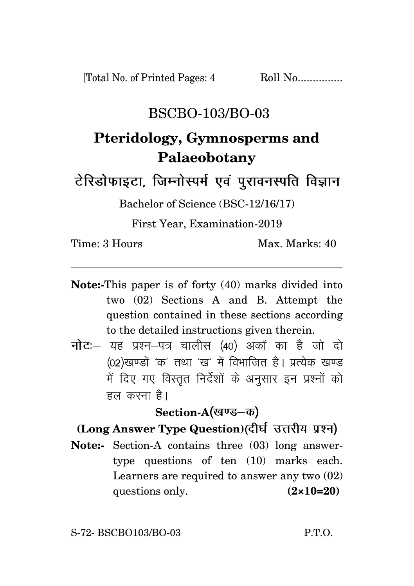## BSCBO-103/BO-03

# **Pteridology, Gymnosperms and Palaeobotany**

टेरिडोफाइटा, जिम्नोस्पर्म एवं पुरावनस्पति विज्ञान

Bachelor of Science (BSC-12/16/17)

First Year, Examination-2019

Time: 3 Hours Max. Marks: 40

- **Note:-**This paper is of forty (40) marks divided into two (02) Sections A and B. Attempt the question contained in these sections according to the detailed instructions given therein.
- नोटः- यह प्रश्न-पत्र चालीस (40) अकों का है जो दो (02)खण्डों 'क' तथा 'ख' में विभाजित है। प्रत्येक खण्ड में दिए गए विस्तृत निर्देशों के अनुसार इन प्रश्नों को हल करना है।

Section-A(खण्ड–क)

### **(Long Answer Type Question)**

**Note:-** Section-A contains three (03) long answertype questions of ten (10) marks each. Learners are required to answer any two (02) questions only. **(2×10=20)**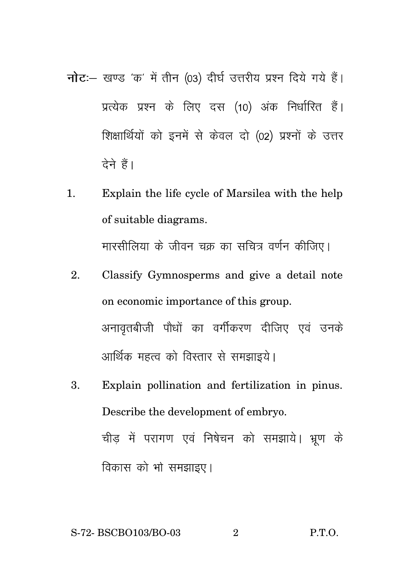- नोट :- खण्ड 'क' में तीन (03) दीर्घ उत्तरीय प्रश्न दिये गये हैं। प्रत्येक प्रश्न के लिए दस (10) अंक निर्धारित हैं। शिक्षार्थियों को इनमें से केवल दो (02) प्रश्नों के उत्तर देने हैं।
- 1. Explain the life cycle of Marsilea with the help of suitable diagrams. मारसीलिया के जीवन चक्र का सचित्र वर्णन कीजिए।
	- 2. Classify Gymnosperms and give a detail note on economic importance of this group. अनावृतबीजी पौधों का वर्गीकरण दीजिए एवं उनके आर्थिक महत्व को विस्तार से समझाइये।
	- 3. Explain pollination and fertilization in pinus. Describe the development of embryo. चीड़ में परागण एवं निषेचन को समझाये। भ्रूण के विकास को भो समझाइए।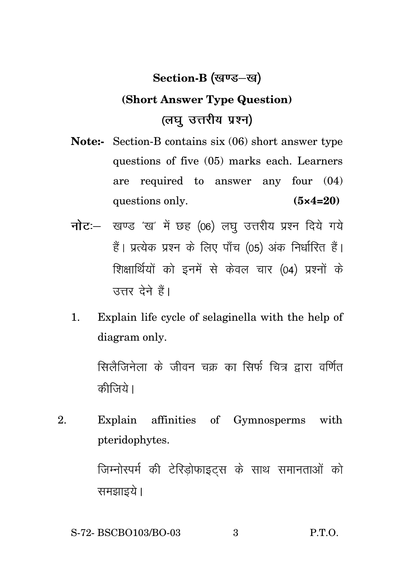#### **Section-B**

## **(Short Answer Type Question)** (लघु उत्तरीय प्रश्न)

- **Note:-** Section-B contains six (06) short answer type questions of five (05) marks each. Learners are required to answer any four (04) questions only. **(5×4=20)**
- नोट :- खण्ड 'ख' में छह (06) लघु उत्तरीय प्रश्न दिये गये हैं। प्रत्येक प्रश्न के लिए पाँच (05) अंक निर्धारित हैं। शिक्षार्थियों को इनमें से केवल चार (04) प्रश्नों के उत्तर देने हैं।
- 1. Explain life cycle of selaginella with the help of diagram only.

सिलैजिनेला के जीवन चक्र का सिर्फ चित्र द्वारा वर्णित कीजिये।

2. Explain affinities of Gymnosperms with pteridophytes.

> जिम्नोस्पर्म की टेरिड़ोफाइट्स के साथ समानताओं को समझाइये।

S-72- BSCBO103/BO-03 3 P.T.O.